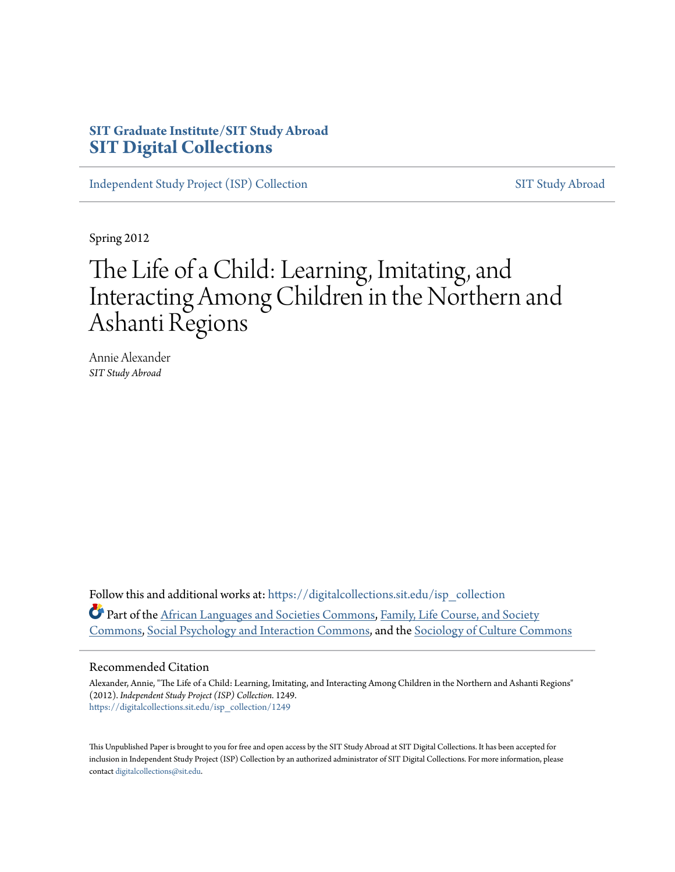## **SIT Graduate Institute/SIT Study Abroad [SIT Digital Collections](https://digitalcollections.sit.edu?utm_source=digitalcollections.sit.edu%2Fisp_collection%2F1249&utm_medium=PDF&utm_campaign=PDFCoverPages)**

[Independent Study Project \(ISP\) Collection](https://digitalcollections.sit.edu/isp_collection?utm_source=digitalcollections.sit.edu%2Fisp_collection%2F1249&utm_medium=PDF&utm_campaign=PDFCoverPages) [SIT Study Abroad](https://digitalcollections.sit.edu/study_abroad?utm_source=digitalcollections.sit.edu%2Fisp_collection%2F1249&utm_medium=PDF&utm_campaign=PDFCoverPages)

Spring 2012

# The Life of a Child: Learning, Imitating, and Interacting Among Children in the Northern and Ashanti Regions

Annie Alexander *SIT Study Abroad*

Follow this and additional works at: [https://digitalcollections.sit.edu/isp\\_collection](https://digitalcollections.sit.edu/isp_collection?utm_source=digitalcollections.sit.edu%2Fisp_collection%2F1249&utm_medium=PDF&utm_campaign=PDFCoverPages) Part of the [African Languages and Societies Commons](http://network.bepress.com/hgg/discipline/476?utm_source=digitalcollections.sit.edu%2Fisp_collection%2F1249&utm_medium=PDF&utm_campaign=PDFCoverPages), [Family, Life Course, and Society](http://network.bepress.com/hgg/discipline/419?utm_source=digitalcollections.sit.edu%2Fisp_collection%2F1249&utm_medium=PDF&utm_campaign=PDFCoverPages) [Commons,](http://network.bepress.com/hgg/discipline/419?utm_source=digitalcollections.sit.edu%2Fisp_collection%2F1249&utm_medium=PDF&utm_campaign=PDFCoverPages) [Social Psychology and Interaction Commons](http://network.bepress.com/hgg/discipline/430?utm_source=digitalcollections.sit.edu%2Fisp_collection%2F1249&utm_medium=PDF&utm_campaign=PDFCoverPages), and the [Sociology of Culture Commons](http://network.bepress.com/hgg/discipline/431?utm_source=digitalcollections.sit.edu%2Fisp_collection%2F1249&utm_medium=PDF&utm_campaign=PDFCoverPages)

#### Recommended Citation

Alexander, Annie, "The Life of a Child: Learning, Imitating, and Interacting Among Children in the Northern and Ashanti Regions" (2012). *Independent Study Project (ISP) Collection*. 1249. [https://digitalcollections.sit.edu/isp\\_collection/1249](https://digitalcollections.sit.edu/isp_collection/1249?utm_source=digitalcollections.sit.edu%2Fisp_collection%2F1249&utm_medium=PDF&utm_campaign=PDFCoverPages)

This Unpublished Paper is brought to you for free and open access by the SIT Study Abroad at SIT Digital Collections. It has been accepted for inclusion in Independent Study Project (ISP) Collection by an authorized administrator of SIT Digital Collections. For more information, please contact [digitalcollections@sit.edu](mailto:digitalcollections@sit.edu).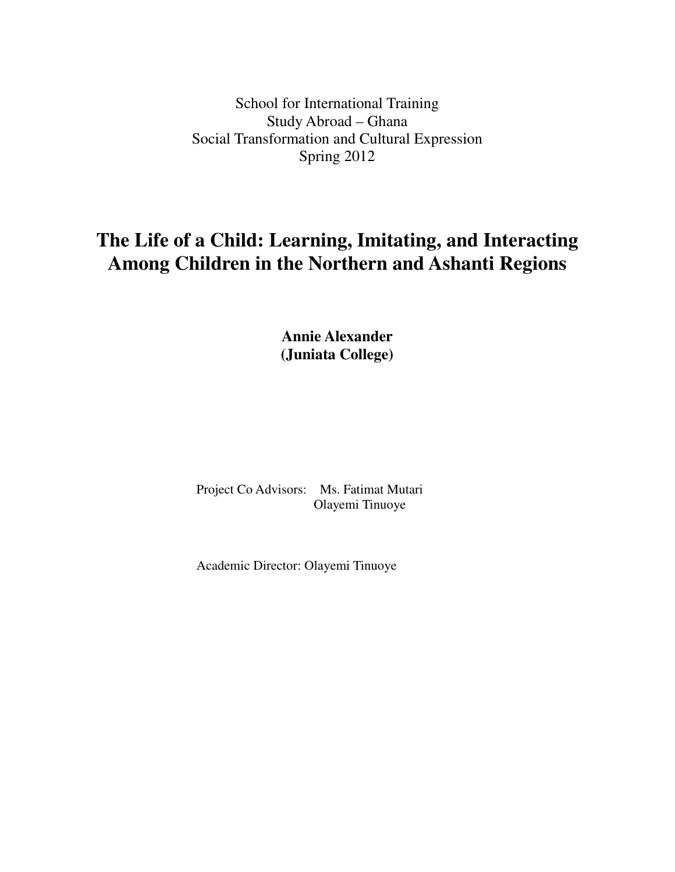School for International Training Study Abroad – Ghana Social Transformation and Cultural Expression Spring 2012

## **The Life of a Child: Learning, Imitating, and Interacting Among Children in the Northern and Ashanti Regions**

**Annie Alexander (Juniata College)** 

 Project Co Advisors: Ms. Fatimat Mutari Olayemi Tinuoye

Academic Director: Olayemi Tinuoye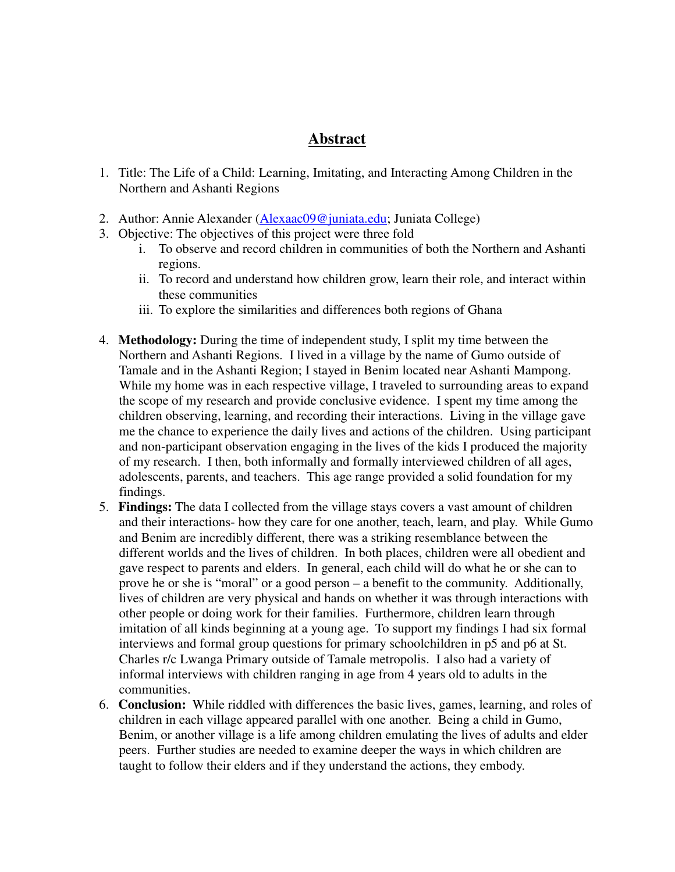### **Abstract**

- 1. Title: The Life of a Child: Learning, Imitating, and Interacting Among Children in the Northern and Ashanti Regions
- 2. Author: Annie Alexander (Alexaac09@juniata.edu; Juniata College)
- 3. Objective: The objectives of this project were three fold
	- i. To observe and record children in communities of both the Northern and Ashanti regions.
	- ii. To record and understand how children grow, learn their role, and interact within these communities
	- iii. To explore the similarities and differences both regions of Ghana
- 4. **Methodology:** During the time of independent study, I split my time between the Northern and Ashanti Regions. I lived in a village by the name of Gumo outside of Tamale and in the Ashanti Region; I stayed in Benim located near Ashanti Mampong. While my home was in each respective village, I traveled to surrounding areas to expand the scope of my research and provide conclusive evidence. I spent my time among the children observing, learning, and recording their interactions. Living in the village gave me the chance to experience the daily lives and actions of the children. Using participant and non-participant observation engaging in the lives of the kids I produced the majority of my research. I then, both informally and formally interviewed children of all ages, adolescents, parents, and teachers. This age range provided a solid foundation for my findings.
- 5. **Findings:** The data I collected from the village stays covers a vast amount of children and their interactions- how they care for one another, teach, learn, and play. While Gumo and Benim are incredibly different, there was a striking resemblance between the different worlds and the lives of children. In both places, children were all obedient and gave respect to parents and elders. In general, each child will do what he or she can to prove he or she is "moral" or a good person – a benefit to the community. Additionally, lives of children are very physical and hands on whether it was through interactions with other people or doing work for their families. Furthermore, children learn through imitation of all kinds beginning at a young age. To support my findings I had six formal interviews and formal group questions for primary schoolchildren in p5 and p6 at St. Charles r/c Lwanga Primary outside of Tamale metropolis. I also had a variety of informal interviews with children ranging in age from 4 years old to adults in the communities.
- 6. **Conclusion:** While riddled with differences the basic lives, games, learning, and roles of children in each village appeared parallel with one another. Being a child in Gumo, Benim, or another village is a life among children emulating the lives of adults and elder peers. Further studies are needed to examine deeper the ways in which children are taught to follow their elders and if they understand the actions, they embody.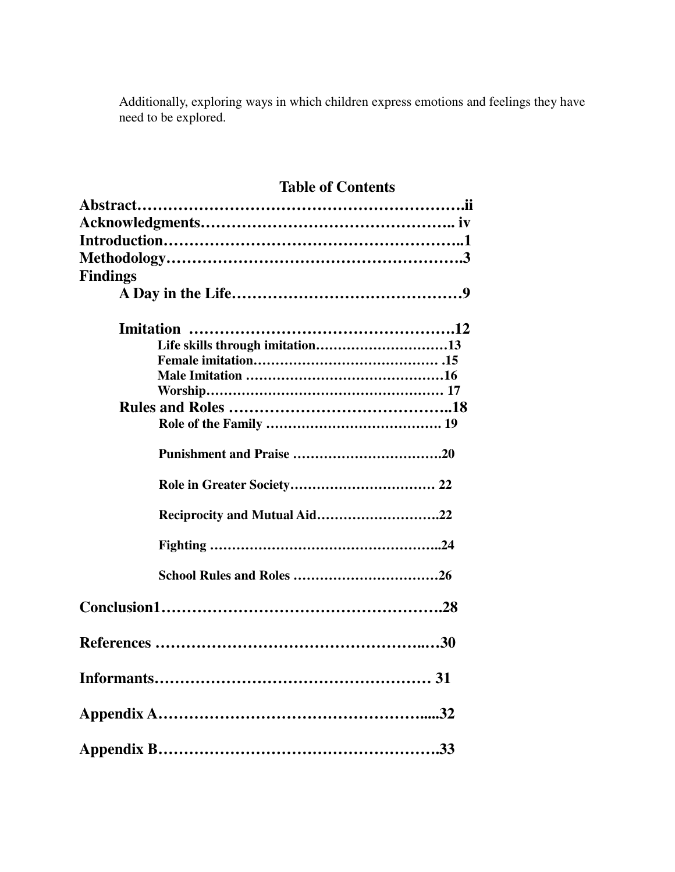Additionally, exploring ways in which children express emotions and feelings they have need to be explored.

## **Table of Contents**

| <b>Findings</b>                 |  |
|---------------------------------|--|
|                                 |  |
|                                 |  |
| Life skills through imitation13 |  |
|                                 |  |
|                                 |  |
|                                 |  |
|                                 |  |
|                                 |  |
|                                 |  |
|                                 |  |
| Reciprocity and Mutual Aid22    |  |
|                                 |  |
|                                 |  |
|                                 |  |
|                                 |  |
|                                 |  |
|                                 |  |
|                                 |  |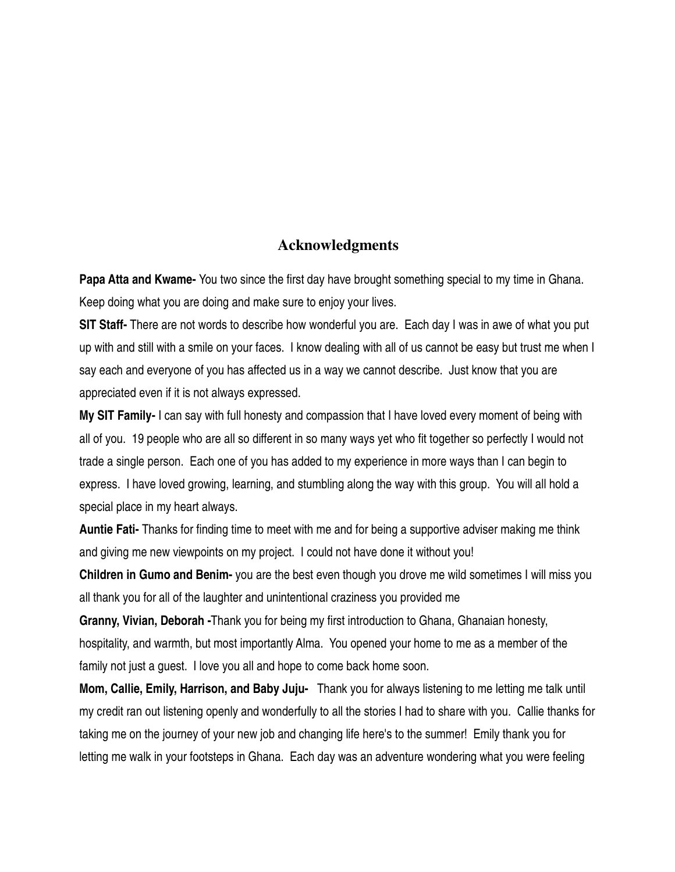#### **Acknowledgments**

**Papa Atta and Kwame-** You two since the first day have brought something special to my time in Ghana. Keep doing what you are doing and make sure to enjoy your lives.

**SIT Staff-** There are not words to describe how wonderful you are. Each day I was in awe of what you put up with and still with a smile on your faces. I know dealing with all of us cannot be easy but trust me when I say each and everyone of you has affected us in a way we cannot describe. Just know that you are appreciated even if it is not always expressed.

**My SIT Family-** I can say with full honesty and compassion that I have loved every moment of being with all of you. 19 people who are all so different in so many ways yet who fit together so perfectly I would not trade a single person. Each one of you has added to my experience in more ways than I can begin to express. I have loved growing, learning, and stumbling along the way with this group. You will all hold a special place in my heart always.

**Auntie Fati-** Thanks for finding time to meet with me and for being a supportive adviser making me think and giving me new viewpoints on my project. I could not have done it without you!

**Children in Gumo and Benim-** you are the best even though you drove me wild sometimes I will miss you all thank you for all of the laughter and unintentional craziness you provided me

**Granny, Vivian, Deborah -**Thank you for being my first introduction to Ghana, Ghanaian honesty, hospitality, and warmth, but most importantly Alma. You opened your home to me as a member of the family not just a guest. I love you all and hope to come back home soon.

**Mom, Callie, Emily, Harrison, and Baby Juju-** Thank you for always listening to me letting me talk until my credit ran out listening openly and wonderfully to all the stories I had to share with you. Callie thanks for taking me on the journey of your new job and changing life here's to the summer! Emily thank you for letting me walk in your footsteps in Ghana. Each day was an adventure wondering what you were feeling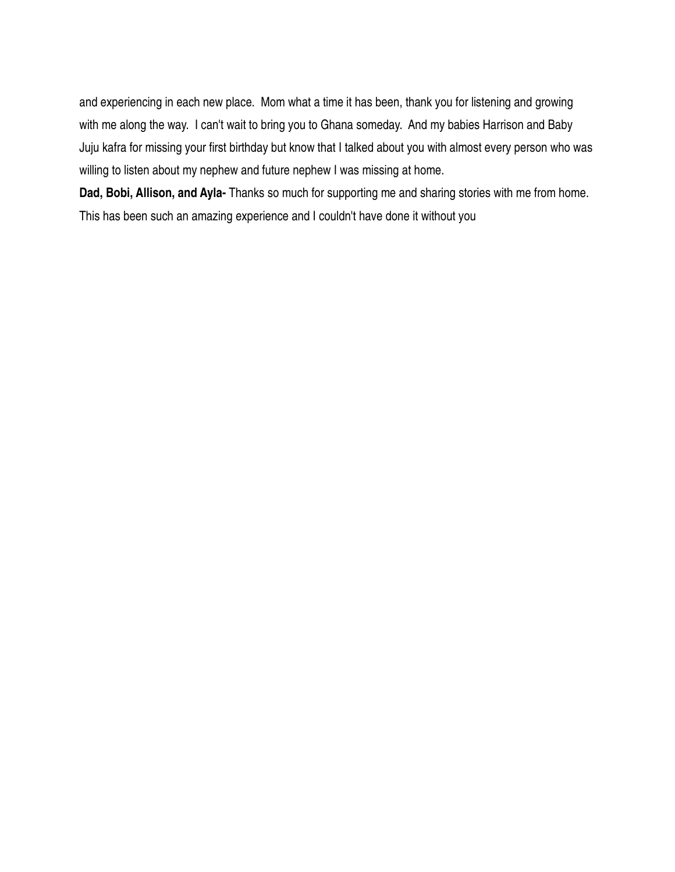and experiencing in each new place. Mom what a time it has been, thank you for listening and growing with me along the way. I can't wait to bring you to Ghana someday. And my babies Harrison and Baby Juju kafra for missing your first birthday but know that I talked about you with almost every person who was willing to listen about my nephew and future nephew I was missing at home.

**Dad, Bobi, Allison, and Ayla-** Thanks so much for supporting me and sharing stories with me from home. This has been such an amazing experience and I couldn't have done it without you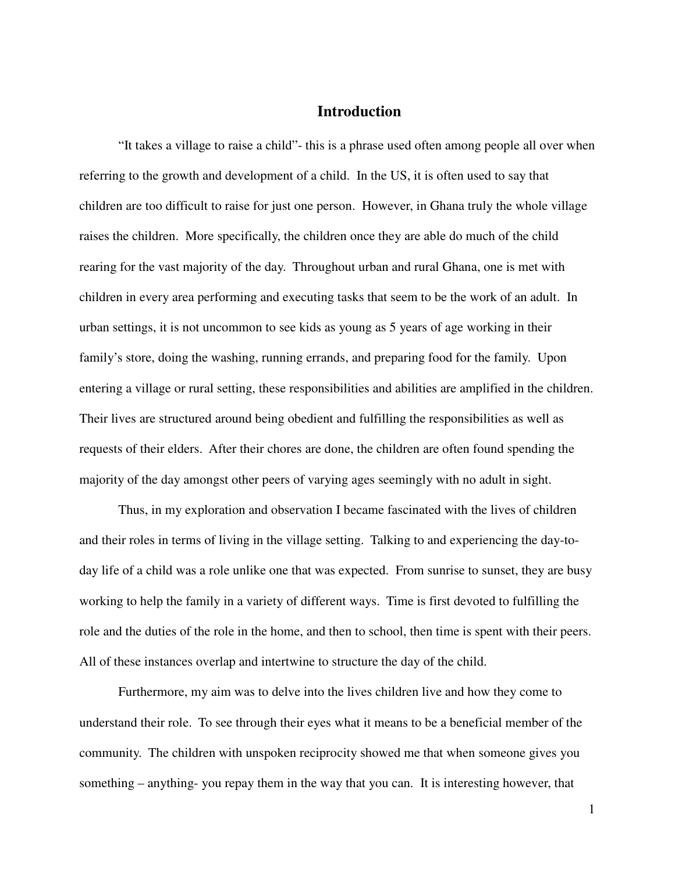#### **Introduction**

 "It takes a village to raise a child"- this is a phrase used often among people all over when referring to the growth and development of a child. In the US, it is often used to say that children are too difficult to raise for just one person. However, in Ghana truly the whole village raises the children. More specifically, the children once they are able do much of the child rearing for the vast majority of the day. Throughout urban and rural Ghana, one is met with children in every area performing and executing tasks that seem to be the work of an adult. In urban settings, it is not uncommon to see kids as young as 5 years of age working in their family's store, doing the washing, running errands, and preparing food for the family. Upon entering a village or rural setting, these responsibilities and abilities are amplified in the children. Their lives are structured around being obedient and fulfilling the responsibilities as well as requests of their elders. After their chores are done, the children are often found spending the majority of the day amongst other peers of varying ages seemingly with no adult in sight.

 Thus, in my exploration and observation I became fascinated with the lives of children and their roles in terms of living in the village setting. Talking to and experiencing the day-today life of a child was a role unlike one that was expected. From sunrise to sunset, they are busy working to help the family in a variety of different ways. Time is first devoted to fulfilling the role and the duties of the role in the home, and then to school, then time is spent with their peers. All of these instances overlap and intertwine to structure the day of the child.

 Furthermore, my aim was to delve into the lives children live and how they come to understand their role. To see through their eyes what it means to be a beneficial member of the community. The children with unspoken reciprocity showed me that when someone gives you something – anything- you repay them in the way that you can. It is interesting however, that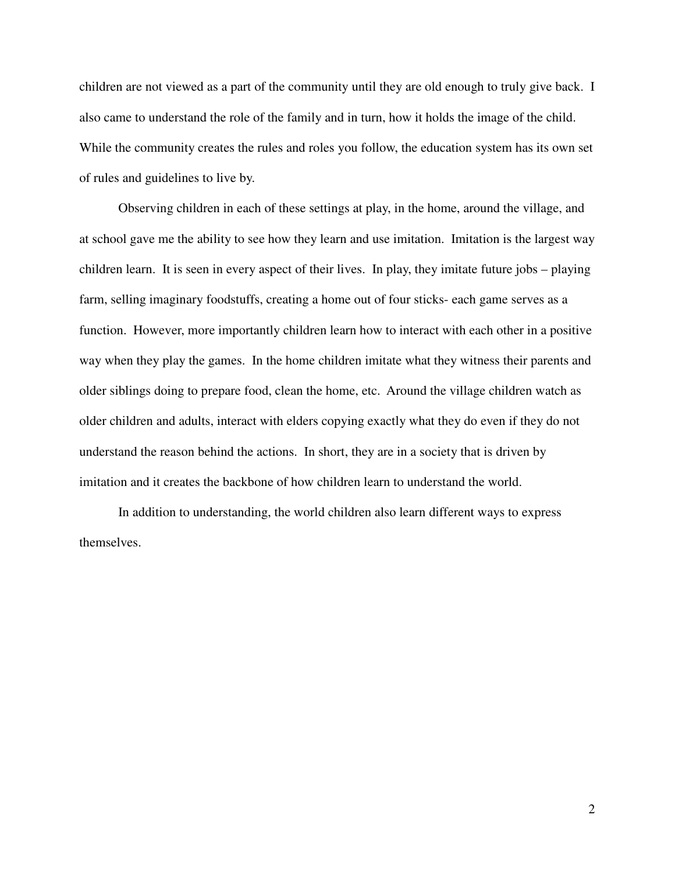children are not viewed as a part of the community until they are old enough to truly give back. I also came to understand the role of the family and in turn, how it holds the image of the child. While the community creates the rules and roles you follow, the education system has its own set of rules and guidelines to live by.

 Observing children in each of these settings at play, in the home, around the village, and at school gave me the ability to see how they learn and use imitation. Imitation is the largest way children learn. It is seen in every aspect of their lives. In play, they imitate future jobs – playing farm, selling imaginary foodstuffs, creating a home out of four sticks- each game serves as a function. However, more importantly children learn how to interact with each other in a positive way when they play the games. In the home children imitate what they witness their parents and older siblings doing to prepare food, clean the home, etc. Around the village children watch as older children and adults, interact with elders copying exactly what they do even if they do not understand the reason behind the actions. In short, they are in a society that is driven by imitation and it creates the backbone of how children learn to understand the world.

 In addition to understanding, the world children also learn different ways to express themselves.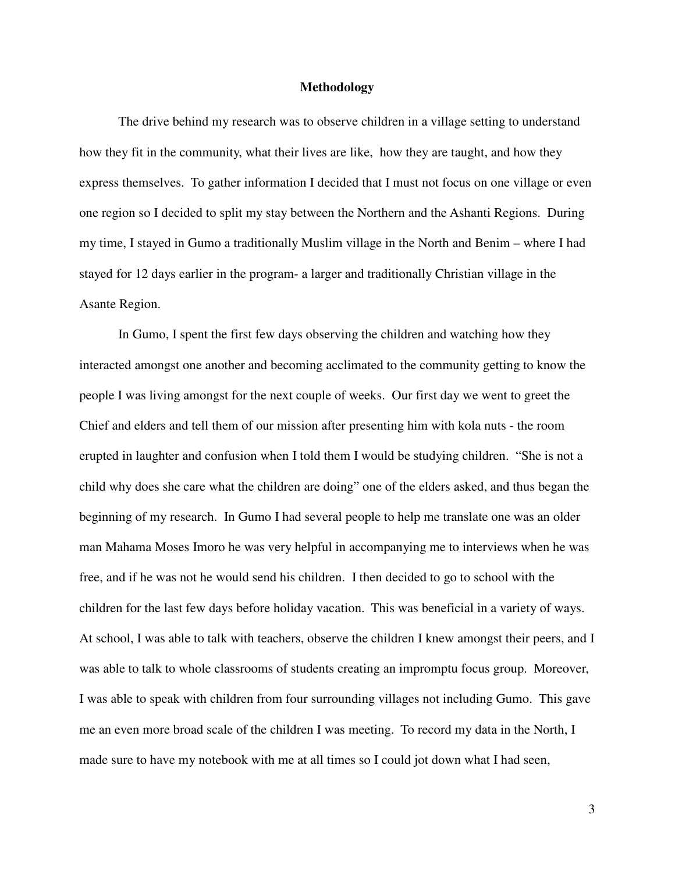#### **Methodology**

The drive behind my research was to observe children in a village setting to understand how they fit in the community, what their lives are like, how they are taught, and how they express themselves. To gather information I decided that I must not focus on one village or even one region so I decided to split my stay between the Northern and the Ashanti Regions. During my time, I stayed in Gumo a traditionally Muslim village in the North and Benim – where I had stayed for 12 days earlier in the program- a larger and traditionally Christian village in the Asante Region.

 In Gumo, I spent the first few days observing the children and watching how they interacted amongst one another and becoming acclimated to the community getting to know the people I was living amongst for the next couple of weeks. Our first day we went to greet the Chief and elders and tell them of our mission after presenting him with kola nuts - the room erupted in laughter and confusion when I told them I would be studying children. "She is not a child why does she care what the children are doing" one of the elders asked, and thus began the beginning of my research. In Gumo I had several people to help me translate one was an older man Mahama Moses Imoro he was very helpful in accompanying me to interviews when he was free, and if he was not he would send his children. I then decided to go to school with the children for the last few days before holiday vacation. This was beneficial in a variety of ways. At school, I was able to talk with teachers, observe the children I knew amongst their peers, and I was able to talk to whole classrooms of students creating an impromptu focus group. Moreover, I was able to speak with children from four surrounding villages not including Gumo. This gave me an even more broad scale of the children I was meeting. To record my data in the North, I made sure to have my notebook with me at all times so I could jot down what I had seen,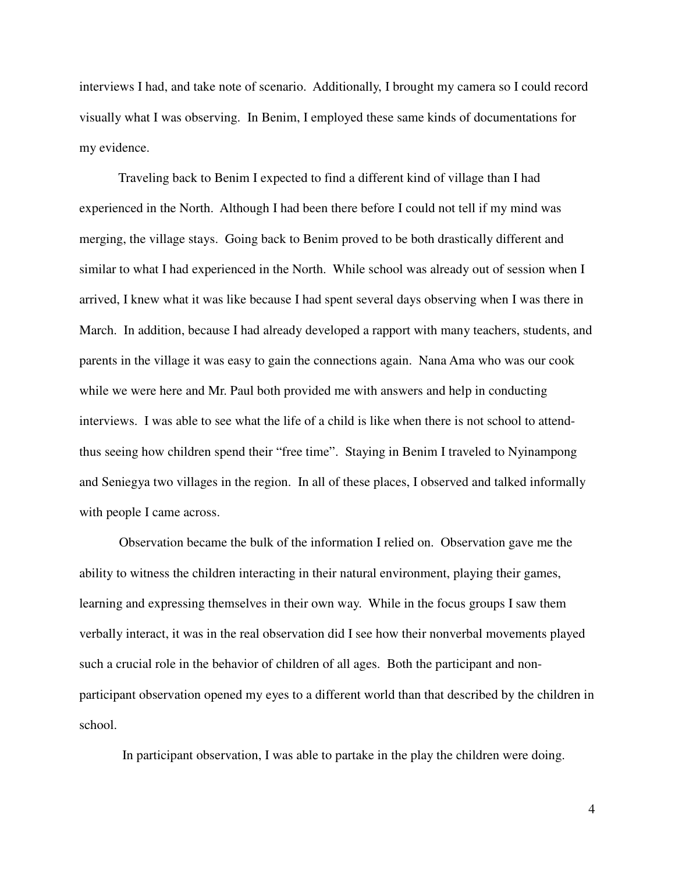interviews I had, and take note of scenario. Additionally, I brought my camera so I could record visually what I was observing. In Benim, I employed these same kinds of documentations for my evidence.

 Traveling back to Benim I expected to find a different kind of village than I had experienced in the North. Although I had been there before I could not tell if my mind was merging, the village stays. Going back to Benim proved to be both drastically different and similar to what I had experienced in the North. While school was already out of session when I arrived, I knew what it was like because I had spent several days observing when I was there in March. In addition, because I had already developed a rapport with many teachers, students, and parents in the village it was easy to gain the connections again. Nana Ama who was our cook while we were here and Mr. Paul both provided me with answers and help in conducting interviews. I was able to see what the life of a child is like when there is not school to attendthus seeing how children spend their "free time". Staying in Benim I traveled to Nyinampong and Seniegya two villages in the region. In all of these places, I observed and talked informally with people I came across.

Observation became the bulk of the information I relied on. Observation gave me the ability to witness the children interacting in their natural environment, playing their games, learning and expressing themselves in their own way. While in the focus groups I saw them verbally interact, it was in the real observation did I see how their nonverbal movements played such a crucial role in the behavior of children of all ages. Both the participant and nonparticipant observation opened my eyes to a different world than that described by the children in school.

In participant observation, I was able to partake in the play the children were doing.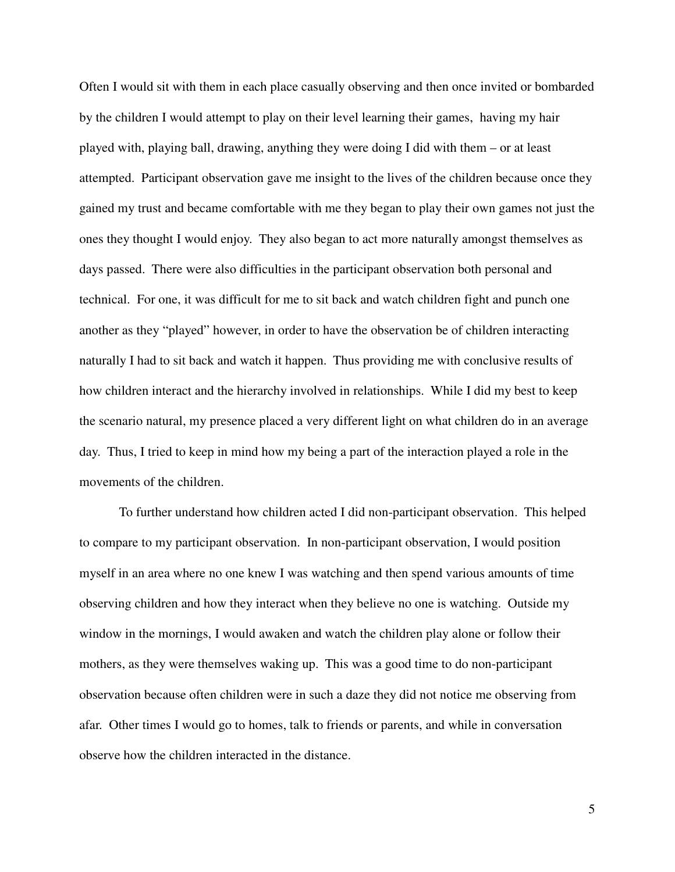Often I would sit with them in each place casually observing and then once invited or bombarded by the children I would attempt to play on their level learning their games, having my hair played with, playing ball, drawing, anything they were doing I did with them – or at least attempted. Participant observation gave me insight to the lives of the children because once they gained my trust and became comfortable with me they began to play their own games not just the ones they thought I would enjoy. They also began to act more naturally amongst themselves as days passed. There were also difficulties in the participant observation both personal and technical. For one, it was difficult for me to sit back and watch children fight and punch one another as they "played" however, in order to have the observation be of children interacting naturally I had to sit back and watch it happen. Thus providing me with conclusive results of how children interact and the hierarchy involved in relationships. While I did my best to keep the scenario natural, my presence placed a very different light on what children do in an average day. Thus, I tried to keep in mind how my being a part of the interaction played a role in the movements of the children.

To further understand how children acted I did non-participant observation. This helped to compare to my participant observation. In non-participant observation, I would position myself in an area where no one knew I was watching and then spend various amounts of time observing children and how they interact when they believe no one is watching. Outside my window in the mornings, I would awaken and watch the children play alone or follow their mothers, as they were themselves waking up. This was a good time to do non-participant observation because often children were in such a daze they did not notice me observing from afar. Other times I would go to homes, talk to friends or parents, and while in conversation observe how the children interacted in the distance.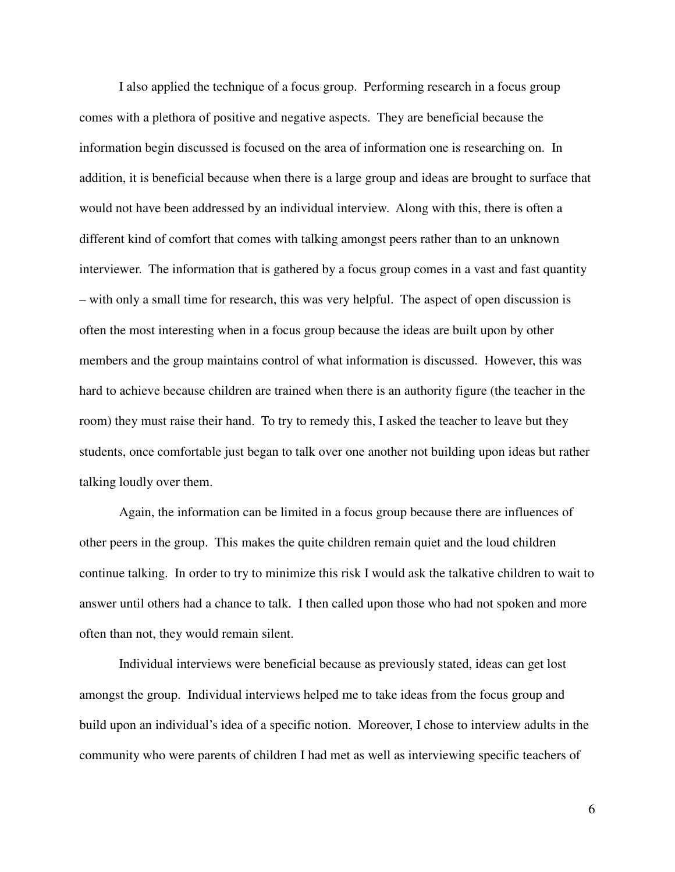I also applied the technique of a focus group. Performing research in a focus group comes with a plethora of positive and negative aspects. They are beneficial because the information begin discussed is focused on the area of information one is researching on. In addition, it is beneficial because when there is a large group and ideas are brought to surface that would not have been addressed by an individual interview. Along with this, there is often a different kind of comfort that comes with talking amongst peers rather than to an unknown interviewer. The information that is gathered by a focus group comes in a vast and fast quantity – with only a small time for research, this was very helpful. The aspect of open discussion is often the most interesting when in a focus group because the ideas are built upon by other members and the group maintains control of what information is discussed. However, this was hard to achieve because children are trained when there is an authority figure (the teacher in the room) they must raise their hand. To try to remedy this, I asked the teacher to leave but they students, once comfortable just began to talk over one another not building upon ideas but rather talking loudly over them.

Again, the information can be limited in a focus group because there are influences of other peers in the group. This makes the quite children remain quiet and the loud children continue talking. In order to try to minimize this risk I would ask the talkative children to wait to answer until others had a chance to talk. I then called upon those who had not spoken and more often than not, they would remain silent.

Individual interviews were beneficial because as previously stated, ideas can get lost amongst the group. Individual interviews helped me to take ideas from the focus group and build upon an individual's idea of a specific notion. Moreover, I chose to interview adults in the community who were parents of children I had met as well as interviewing specific teachers of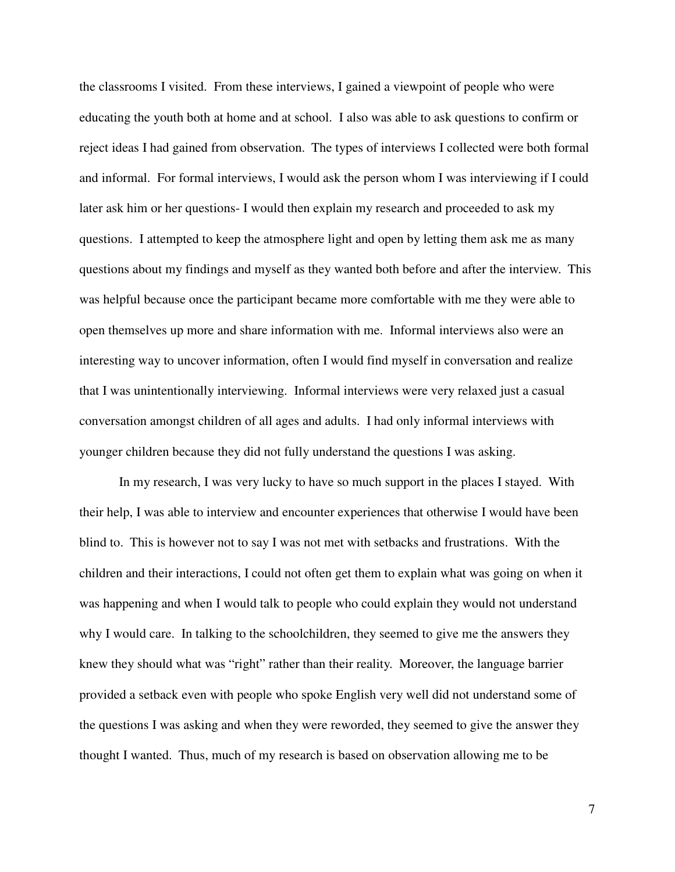the classrooms I visited. From these interviews, I gained a viewpoint of people who were educating the youth both at home and at school. I also was able to ask questions to confirm or reject ideas I had gained from observation. The types of interviews I collected were both formal and informal. For formal interviews, I would ask the person whom I was interviewing if I could later ask him or her questions- I would then explain my research and proceeded to ask my questions. I attempted to keep the atmosphere light and open by letting them ask me as many questions about my findings and myself as they wanted both before and after the interview. This was helpful because once the participant became more comfortable with me they were able to open themselves up more and share information with me. Informal interviews also were an interesting way to uncover information, often I would find myself in conversation and realize that I was unintentionally interviewing. Informal interviews were very relaxed just a casual conversation amongst children of all ages and adults. I had only informal interviews with younger children because they did not fully understand the questions I was asking.

In my research, I was very lucky to have so much support in the places I stayed. With their help, I was able to interview and encounter experiences that otherwise I would have been blind to. This is however not to say I was not met with setbacks and frustrations. With the children and their interactions, I could not often get them to explain what was going on when it was happening and when I would talk to people who could explain they would not understand why I would care. In talking to the schoolchildren, they seemed to give me the answers they knew they should what was "right" rather than their reality. Moreover, the language barrier provided a setback even with people who spoke English very well did not understand some of the questions I was asking and when they were reworded, they seemed to give the answer they thought I wanted. Thus, much of my research is based on observation allowing me to be